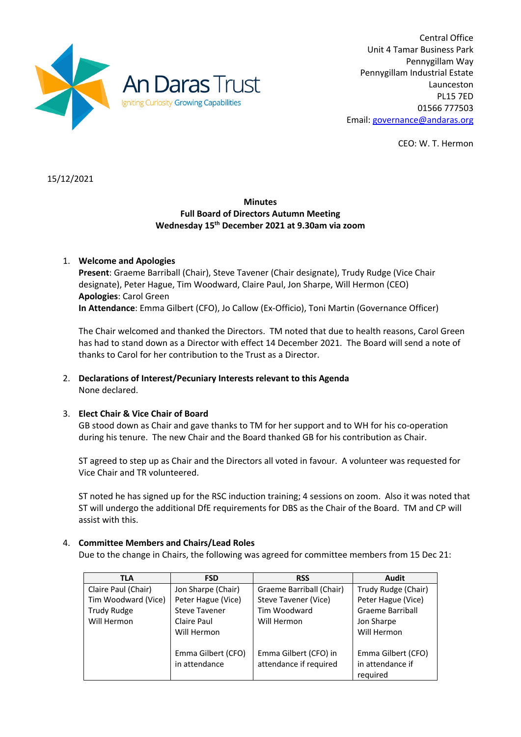

Central Office Unit 4 Tamar Business Park Pennygillam Way Pennygillam Industrial Estate Launceston PL15 7ED 01566 777503 Email: governance@andaras.org

CEO: W. T. Hermon

15/12/2021

## **Minutes Full Board of Directors Autumn Meeting Wednesday 15th December 2021 at 9.30am via zoom**

# 1. **Welcome and Apologies**

**Present**: Graeme Barriball (Chair), Steve Tavener (Chair designate), Trudy Rudge (Vice Chair designate), Peter Hague, Tim Woodward, Claire Paul, Jon Sharpe, Will Hermon (CEO) **Apologies**: Carol Green **In Attendance**: Emma Gilbert (CFO), Jo Callow (Ex-Officio), Toni Martin (Governance Officer)

The Chair welcomed and thanked the Directors. TM noted that due to health reasons, Carol Green has had to stand down as a Director with effect 14 December 2021. The Board will send a note of thanks to Carol for her contribution to the Trust as a Director.

## 2. **Declarations of Interest/Pecuniary Interests relevant to this Agenda** None declared.

## 3. **Elect Chair & Vice Chair of Board**

GB stood down as Chair and gave thanks to TM for her support and to WH for his co-operation during his tenure. The new Chair and the Board thanked GB for his contribution as Chair.

ST agreed to step up as Chair and the Directors all voted in favour. A volunteer was requested for Vice Chair and TR volunteered.

ST noted he has signed up for the RSC induction training; 4 sessions on zoom. Also it was noted that ST will undergo the additional DfE requirements for DBS as the Chair of the Board. TM and CP will assist with this.

### 4. **Committee Members and Chairs/Lead Roles**

Due to the change in Chairs, the following was agreed for committee members from 15 Dec 21:

| <b>TLA</b>          | <b>FSD</b>           | <b>RSS</b>               | Audit                   |
|---------------------|----------------------|--------------------------|-------------------------|
| Claire Paul (Chair) | Jon Sharpe (Chair)   | Graeme Barriball (Chair) | Trudy Rudge (Chair)     |
| Tim Woodward (Vice) | Peter Hague (Vice)   | Steve Tavener (Vice)     | Peter Hague (Vice)      |
| <b>Trudy Rudge</b>  | <b>Steve Tavener</b> | Tim Woodward             | <b>Graeme Barriball</b> |
| Will Hermon         | Claire Paul          | Will Hermon              | Jon Sharpe              |
|                     | Will Hermon          |                          | Will Hermon             |
|                     |                      |                          |                         |
|                     | Emma Gilbert (CFO)   | Emma Gilbert (CFO) in    | Emma Gilbert (CFO)      |
|                     | in attendance        | attendance if required   | in attendance if        |
|                     |                      |                          | required                |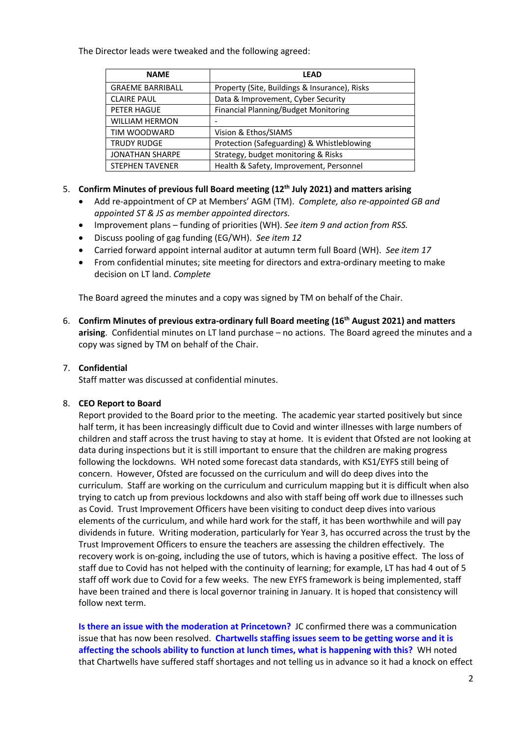The Director leads were tweaked and the following agreed:

| <b>NAME</b>             | LEAD                                          |
|-------------------------|-----------------------------------------------|
| <b>GRAEME BARRIBALL</b> | Property (Site, Buildings & Insurance), Risks |
| <b>CLAIRE PAUL</b>      | Data & Improvement, Cyber Security            |
| PETER HAGUE             | <b>Financial Planning/Budget Monitoring</b>   |
| <b>WILLIAM HERMON</b>   |                                               |
| TIM WOODWARD            | Vision & Ethos/SIAMS                          |
| <b>TRUDY RUDGE</b>      | Protection (Safeguarding) & Whistleblowing    |
| <b>JONATHAN SHARPE</b>  | Strategy, budget monitoring & Risks           |
| <b>STEPHEN TAVENER</b>  | Health & Safety, Improvement, Personnel       |

## 5. **Confirm Minutes of previous full Board meeting (12th July 2021) and matters arising**

- Add re-appointment of CP at Members' AGM (TM). *Complete, also re-appointed GB and appointed ST & JS as member appointed directors.*
- Improvement plans funding of priorities (WH). *See item 9 and action from RSS.*
- Discuss pooling of gag funding (EG/WH). *See item 12*
- Carried forward appoint internal auditor at autumn term full Board (WH). *See item 17*
- From confidential minutes; site meeting for directors and extra-ordinary meeting to make decision on LT land. *Complete*

The Board agreed the minutes and a copy was signed by TM on behalf of the Chair.

6. **Confirm Minutes of previous extra-ordinary full Board meeting (16th August 2021) and matters arising**. Confidential minutes on LT land purchase – no actions. The Board agreed the minutes and a copy was signed by TM on behalf of the Chair.

# 7. **Confidential**

Staff matter was discussed at confidential minutes.

## 8. **CEO Report to Board**

Report provided to the Board prior to the meeting. The academic year started positively but since half term, it has been increasingly difficult due to Covid and winter illnesses with large numbers of children and staff across the trust having to stay at home. It is evident that Ofsted are not looking at data during inspections but it is still important to ensure that the children are making progress following the lockdowns. WH noted some forecast data standards, with KS1/EYFS still being of concern. However, Ofsted are focussed on the curriculum and will do deep dives into the curriculum. Staff are working on the curriculum and curriculum mapping but it is difficult when also trying to catch up from previous lockdowns and also with staff being off work due to illnesses such as Covid. Trust Improvement Officers have been visiting to conduct deep dives into various elements of the curriculum, and while hard work for the staff, it has been worthwhile and will pay dividends in future. Writing moderation, particularly for Year 3, has occurred across the trust by the Trust Improvement Officers to ensure the teachers are assessing the children effectively. The recovery work is on-going, including the use of tutors, which is having a positive effect. The loss of staff due to Covid has not helped with the continuity of learning; for example, LT has had 4 out of 5 staff off work due to Covid for a few weeks. The new EYFS framework is being implemented, staff have been trained and there is local governor training in January. It is hoped that consistency will follow next term.

**Is there an issue with the moderation at Princetown?** JC confirmed there was a communication issue that has now been resolved. **Chartwells staffing issues seem to be getting worse and it is affecting the schools ability to function at lunch times, what is happening with this?** WH noted that Chartwells have suffered staff shortages and not telling us in advance so it had a knock on effect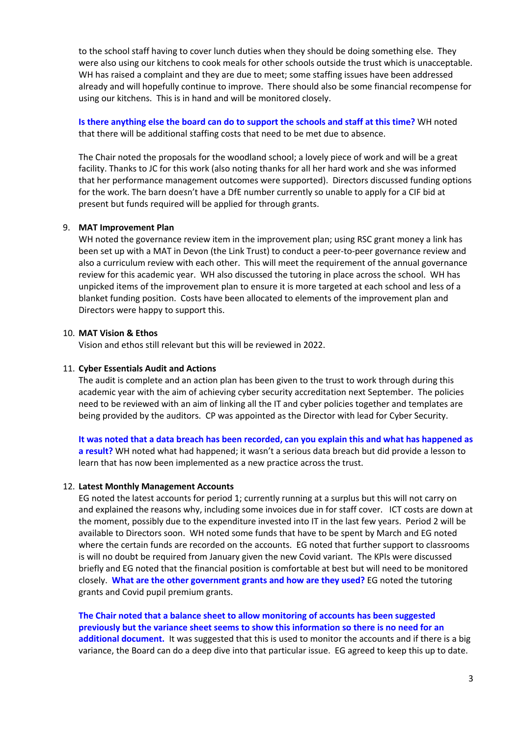to the school staff having to cover lunch duties when they should be doing something else. They were also using our kitchens to cook meals for other schools outside the trust which is unacceptable. WH has raised a complaint and they are due to meet; some staffing issues have been addressed already and will hopefully continue to improve. There should also be some financial recompense for using our kitchens. This is in hand and will be monitored closely.

### **Is there anything else the board can do to support the schools and staff at this time?** WH noted that there will be additional staffing costs that need to be met due to absence.

The Chair noted the proposals for the woodland school; a lovely piece of work and will be a great facility. Thanks to JC for this work (also noting thanks for all her hard work and she was informed that her performance management outcomes were supported). Directors discussed funding options for the work. The barn doesn't have a DfE number currently so unable to apply for a CIF bid at present but funds required will be applied for through grants.

### 9. **MAT Improvement Plan**

WH noted the governance review item in the improvement plan; using RSC grant money a link has been set up with a MAT in Devon (the Link Trust) to conduct a peer-to-peer governance review and also a curriculum review with each other. This will meet the requirement of the annual governance review for this academic year. WH also discussed the tutoring in place across the school. WH has unpicked items of the improvement plan to ensure it is more targeted at each school and less of a blanket funding position. Costs have been allocated to elements of the improvement plan and Directors were happy to support this.

### 10. **MAT Vision & Ethos**

Vision and ethos still relevant but this will be reviewed in 2022.

### 11. **Cyber Essentials Audit and Actions**

The audit is complete and an action plan has been given to the trust to work through during this academic year with the aim of achieving cyber security accreditation next September. The policies need to be reviewed with an aim of linking all the IT and cyber policies together and templates are being provided by the auditors. CP was appointed as the Director with lead for Cyber Security.

**It was noted that a data breach has been recorded, can you explain this and what has happened as a result?** WH noted what had happened; it wasn't a serious data breach but did provide a lesson to learn that has now been implemented as a new practice across the trust.

### 12. **Latest Monthly Management Accounts**

EG noted the latest accounts for period 1; currently running at a surplus but this will not carry on and explained the reasons why, including some invoices due in for staff cover. ICT costs are down at the moment, possibly due to the expenditure invested into IT in the last few years. Period 2 will be available to Directors soon. WH noted some funds that have to be spent by March and EG noted where the certain funds are recorded on the accounts. EG noted that further support to classrooms is will no doubt be required from January given the new Covid variant. The KPIs were discussed briefly and EG noted that the financial position is comfortable at best but will need to be monitored closely. **What are the other government grants and how are they used?** EG noted the tutoring grants and Covid pupil premium grants.

**The Chair noted that a balance sheet to allow monitoring of accounts has been suggested previously but the variance sheet seems to show this information so there is no need for an additional document.** It was suggested that this is used to monitor the accounts and if there is a big variance, the Board can do a deep dive into that particular issue. EG agreed to keep this up to date.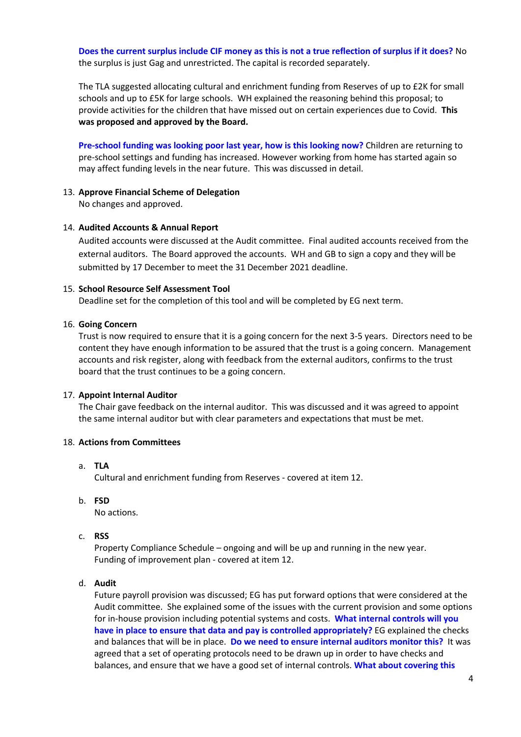**Does the current surplus include CIF money as this is not a true reflection of surplus if it does?** No the surplus is just Gag and unrestricted. The capital is recorded separately.

The TLA suggested allocating cultural and enrichment funding from Reserves of up to £2K for small schools and up to £5K for large schools. WH explained the reasoning behind this proposal; to provide activities for the children that have missed out on certain experiences due to Covid. **This was proposed and approved by the Board.**

**Pre-school funding was looking poor last year, how is this looking now?** Children are returning to pre-school settings and funding has increased. However working from home has started again so may affect funding levels in the near future. This was discussed in detail.

## 13. **Approve Financial Scheme of Delegation**

No changes and approved.

### 14. **Audited Accounts & Annual Report**

Audited accounts were discussed at the Audit committee. Final audited accounts received from the external auditors. The Board approved the accounts. WH and GB to sign a copy and they will be submitted by 17 December to meet the 31 December 2021 deadline.

#### 15. **School Resource Self Assessment Tool**

Deadline set for the completion of this tool and will be completed by EG next term.

#### 16. **Going Concern**

Trust is now required to ensure that it is a going concern for the next 3-5 years. Directors need to be content they have enough information to be assured that the trust is a going concern. Management accounts and risk register, along with feedback from the external auditors, confirms to the trust board that the trust continues to be a going concern.

### 17. **Appoint Internal Auditor**

The Chair gave feedback on the internal auditor. This was discussed and it was agreed to appoint the same internal auditor but with clear parameters and expectations that must be met.

### 18. **Actions from Committees**

### a. **TLA**

Cultural and enrichment funding from Reserves - covered at item 12.

b. **FSD**

No actions.

c. **RSS**

Property Compliance Schedule – ongoing and will be up and running in the new year. Funding of improvement plan - covered at item 12.

#### d. **Audit**

Future payroll provision was discussed; EG has put forward options that were considered at the Audit committee. She explained some of the issues with the current provision and some options for in-house provision including potential systems and costs. **What internal controls will you have in place to ensure that data and pay is controlled appropriately?** EG explained the checks and balances that will be in place. **Do we need to ensure internal auditors monitor this?** It was agreed that a set of operating protocols need to be drawn up in order to have checks and balances, and ensure that we have a good set of internal controls. **What about covering this**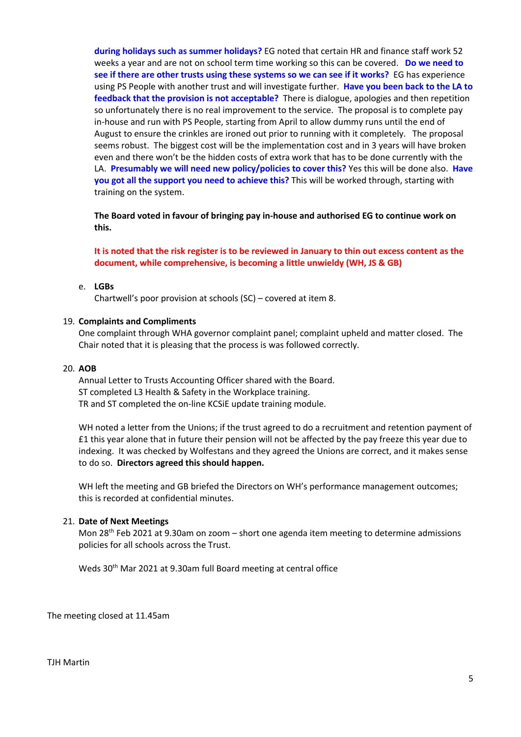**during holidays such as summer holidays?** EG noted that certain HR and finance staff work 52 weeks a year and are not on school term time working so this can be covered. **Do we need to see if there are other trusts using these systems so we can see if it works?** EG has experience using PS People with another trust and will investigate further. **Have you been back to the LA to feedback that the provision is not acceptable?** There is dialogue, apologies and then repetition so unfortunately there is no real improvement to the service. The proposal is to complete pay in-house and run with PS People, starting from April to allow dummy runs until the end of August to ensure the crinkles are ironed out prior to running with it completely. The proposal seems robust. The biggest cost will be the implementation cost and in 3 years will have broken even and there won't be the hidden costs of extra work that has to be done currently with the LA. **Presumably we will need new policy/policies to cover this?** Yes this will be done also. **Have you got all the support you need to achieve this?** This will be worked through, starting with training on the system.

**The Board voted in favour of bringing pay in-house and authorised EG to continue work on this.** 

**It is noted that the risk register is to be reviewed in January to thin out excess content as the document, while comprehensive, is becoming a little unwieldy (WH, JS & GB)**

#### e. **LGBs**

Chartwell's poor provision at schools (SC) – covered at item 8.

#### 19. **Complaints and Compliments**

One complaint through WHA governor complaint panel; complaint upheld and matter closed. The Chair noted that it is pleasing that the process is was followed correctly.

#### 20. **AOB**

Annual Letter to Trusts Accounting Officer shared with the Board. ST completed L3 Health & Safety in the Workplace training. TR and ST completed the on-line KCSiE update training module.

WH noted a letter from the Unions; if the trust agreed to do a recruitment and retention payment of £1 this year alone that in future their pension will not be affected by the pay freeze this year due to indexing. It was checked by Wolfestans and they agreed the Unions are correct, and it makes sense to do so. **Directors agreed this should happen.**

WH left the meeting and GB briefed the Directors on WH's performance management outcomes; this is recorded at confidential minutes.

#### 21. **Date of Next Meetings**

Mon  $28<sup>th</sup>$  Feb 2021 at 9.30am on zoom – short one agenda item meeting to determine admissions policies for all schools across the Trust.

Weds 30th Mar 2021 at 9.30am full Board meeting at central office

The meeting closed at 11.45am